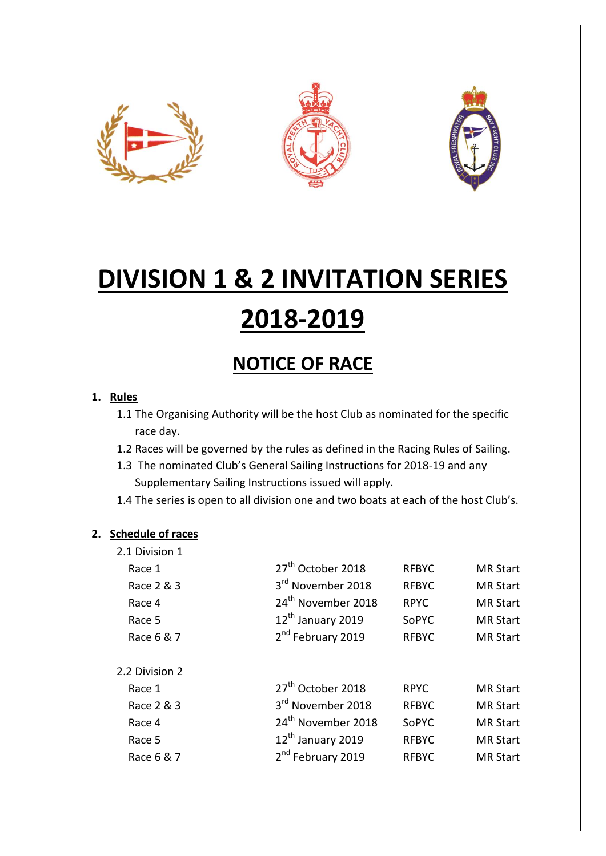





# **DIVISION 1 & 2 INVITATION SERIES 2018-2019**

# **NOTICE OF RACE**

## **1. Rules**

- 1.1 The Organising Authority will be the host Club as nominated for the specific race day.
- 1.2 Races will be governed by the rules as defined in the Racing Rules of Sailing.
- 1.3 The nominated Club's General Sailing Instructions for 2018-19 and any Supplementary Sailing Instructions issued will apply.
- 1.4 The series is open to all division one and two boats at each of the host Club's.

### **2. Schedule of races**

2.1 Division 1

| 27 <sup>th</sup> October 2018  | <b>RFBYC</b> | <b>MR Start</b> |
|--------------------------------|--------------|-----------------|
| 3 <sup>rd</sup> November 2018  | <b>RFBYC</b> | <b>MR Start</b> |
| 24 <sup>th</sup> November 2018 | <b>RPYC</b>  | <b>MR Start</b> |
| 12 <sup>th</sup> January 2019  | SoPYC        | <b>MR Start</b> |
| 2 <sup>nd</sup> February 2019  | <b>RFBYC</b> | <b>MR Start</b> |
|                                |              |                 |
| 27 <sup>th</sup> October 2018  | <b>RPYC</b>  | <b>MR Start</b> |
| 3 <sup>rd</sup> November 2018  | <b>RFBYC</b> | <b>MR Start</b> |
| 24 <sup>th</sup> November 2018 | SoPYC        | <b>MR Start</b> |
| 12 <sup>th</sup> January 2019  | <b>RFBYC</b> | <b>MR Start</b> |
| 2 <sup>nd</sup> February 2019  | <b>RFBYC</b> | <b>MR Start</b> |
|                                |              |                 |